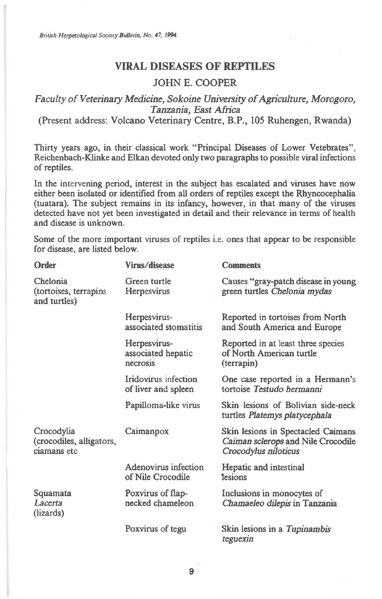British Herpetological Society Bulletin, No. 47, 1994.

## **VIRAL DISEASES OF REPTILES**

## JOHN E. COOPER

## *Faculty of Veterinary Medicine, Sokoine University of Agriculture, Morogoro, Tanzania, East Africa*

(Present address: Volcano Veterinary Centre, B.P., 105 Ruhengen, Rwanda)

Thirty years ago, in their classical work "Principal Diseases of Lower Vetebrates", Reichenbach-Klinke and Elkan devoted only two paragraphs to possible viral infections of reptiles.

In the intervening period, interest in the subject has escalated and viruses have now either been isolated or identified from all orders of reptiles except the Rhyncocephalia (tuatara). The subject remains in its infancy, however, in that many of the viruses detected have not yet been investigated in detail and their relevance in terms of health and disease is unknown.

Some of the more important viruses of reptiles i.e. ones that appear to be responsible for disease, are listed below.

| Order                                                 | Virus/disease                                  | <b>Comments</b>                                                                                  |
|-------------------------------------------------------|------------------------------------------------|--------------------------------------------------------------------------------------------------|
| Chelonia<br>(tortoises, terrapins<br>and turtles)     | Green turtle<br>Herpesvirus                    | Causes "gray-patch disease in young<br>green turtles Chelonia mydas                              |
|                                                       | Herpesvirus-<br>associated stomatitis          | Reported in tortoises from North<br>and South America and Europe                                 |
|                                                       | Herpesvirus-<br>associated hepatic<br>necrosis | Reported in at least three species<br>of North American turtle<br>(terrapin)                     |
|                                                       | Iridovirus infection<br>of liver and spleen    | One case reported in a Hermann's<br>tortoise Testudo hermanni                                    |
|                                                       | Papilloma-like virus                           | Skin lesions of Bolivian side-neck<br>turtles Platemys platycephala                              |
| Crocodylia<br>(crocodiles, alligators,<br>ciamans etc | Caimanpox                                      | Skin lesions in Spectacled Caimans<br>Caiman sclerops and Nile Crocodile<br>Crocodylus niloticus |
|                                                       | Adenovirus infection<br>of Nile Crocodile      | Hepatic and intestinal<br><i>lesions</i>                                                         |
| Squamata<br>Lacerta<br>(lizards)                      | Poxvirus of flap-<br>necked chameleon          | Inclusions in monocytes of<br>Chamaeleo dilepis in Tanzania                                      |
|                                                       | Poxvirus of tegu                               | Skin lesions in a Tupinambis<br>teguexin                                                         |